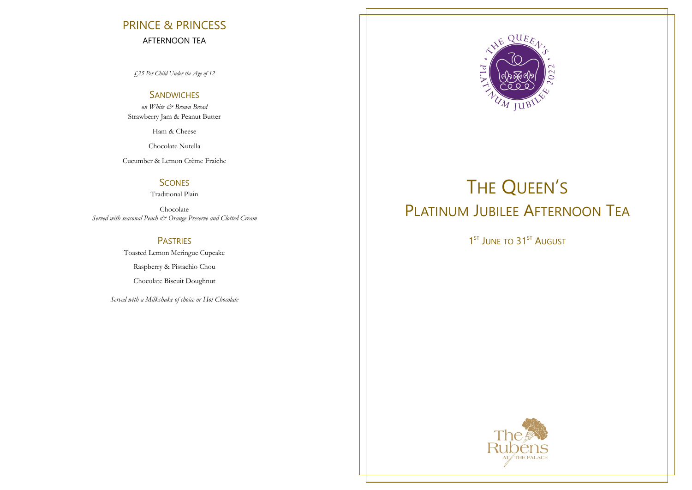# PRINCE & PRINCESS AFTERNOON TEA

*£25 Per Child Under the Age of 12*

# **SANDWICHES**

*on White & Brown Bread*  Strawberry Jam & Peanut Butter

Ham & Cheese

Chocolate Nutella

Cucumber & Lemon Crème Fraîche

# **SCONES**

Traditional Plain

Chocolate *Served with seasonal Peach & Orange Preserve and Clotted Cream*

> PASTRIES Toasted Lemon Meringue Cupcake Raspberry & Pistachio Chou Chocolate Biscuit Doughnut

*Served with a Milkshake of choice or Hot Chocolate* 



# THE QUEEN'S PLATINUM JUBILEE AFTERNOON TEA

1<sup>ST</sup> JUNE TO 31<sup>ST</sup> AUGUST

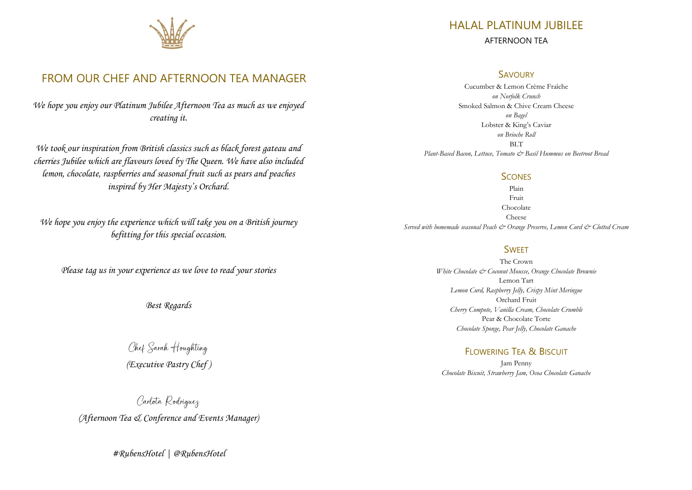

# FROM OUR CHEF AND AFTERNOON TEA MANAGER

*We hope you enjoy our Platinum Jubilee Afternoon Tea as much as we enjoyed creating it.* 

*We took our inspiration from British classics such as black forest gateau and cherries Jubilee which are flavours loved by The Queen. We have also included lemon, chocolate, raspberries and seasonal fruit such as pears and peaches inspired by Her Majesty's Orchard.* 

*We hope you enjoy the experience which will take you on a British journey befitting for this special occasion.* 

*Please tag us in your experience as we love to read your stories* 

*Best Regards* 

Chef Sarah Houghting *(Executive Pastry Chef )* 

Carlota Rodriguez *(Afternoon Tea & Conference and Events Manager)* 

*#RubensHotel | @RubensHotel* 

# HALAL PLATINUM JUBILEE AFTERNOON TEA

### **SAVOURY**

Cucumber & Lemon Crème Fraîche *on Norfolk Crunch* Smoked Salmon & Chive Cream Cheese *on Bagel* Lobster & King's Caviar *on Brioche Roll* **BLT** *Plant-Based Bacon, Lettuce, Tomato & Basil Hummus on Beetroot Bread* 

### **SCONES**

Plain Fruit Chocolate Cheese *Served with homemade seasonal Peach & Orange Preserve, Lemon Curd & Clotted Cream*

# **SWFFT**

The Crown *White Chocolate & Coconut Mousse, Orange Chocolate Brownie* Lemon Tart *Lemon Curd, Raspberry Jelly, Crispy Mint Meringue* Orchard Fruit *Cherry Compote, Vanilla Cream, Chocolate Crumble* Pear & Chocolate Torte *Chocolate Sponge, Pear Jelly, Chocolate Ganache* 

# FLOWERING TEA & BISCUIT

Jam Penny *Chocolate Biscuit, Strawberry Jam, Ocoa Chocolate Ganache*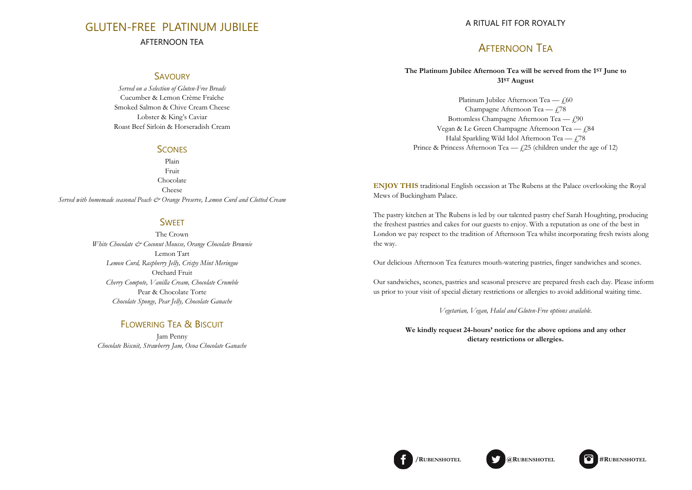# GLUTEN-FREE PLATINUM JUBILEE AFTERNOON TEA

## **SAVOURY**

*Served on a Selection of Gluten-Free Breads* Cucumber & Lemon Crème Fraîche Smoked Salmon & Chive Cream Cheese Lobster & King's Caviar Roast Beef Sirloin & Horseradish Cream

# **SCONES**

Plain Fruit Chocolate Cheese *Served with homemade seasonal Peach & Orange Preserve, Lemon Curd and Clotted Cream*

# **SWFFT**

The Crown *White Chocolate & Coconut Mousse, Orange Chocolate Brownie* Lemon Tart *Lemon Curd, Raspberry Jelly, Crispy Mint Meringue* Orchard Fruit *Cherry Compote, Vanilla Cream, Chocolate Crumble* Pear & Chocolate Torte *Chocolate Sponge, Pear Jelly, Chocolate Ganache* 

# FLOWERING TEA & BISCUIT

Jam Penny *Chocolate Biscuit, Strawberry Jam, Ocoa Chocolate Ganache*

## A RITUAL FIT FOR ROYALTY

# AFTERNOON TEA

### **The Platinum Jubilee Afternoon Tea will be served from the 1ST June to 31ST August**

Platinum Jubilee Afternoon Tea  $- f$   $f$ ,60 Champagne Afternoon Tea  $f$ .78 Bottomless Champagne Afternoon Tea  $- f$ ,90 Vegan & Le Green Champagne Afternoon Tea  $-$  £84 Halal Sparkling Wild Idol Afternoon Tea  $\frac{1}{78}$ Prince & Princess Afternoon Tea —  $f(25)$  (children under the age of 12)

**ENJOY THIS** traditional English occasion at The Rubens at the Palace overlooking the Royal Mews of Buckingham Palace.

The pastry kitchen at The Rubens is led by our talented pastry chef Sarah Houghting, producing the freshest pastries and cakes for our guests to enjoy. With a reputation as one of the best in London we pay respect to the tradition of Afternoon Tea whilst incorporating fresh twists along the way.

Our delicious Afternoon Tea features mouth-watering pastries, finger sandwiches and scones.

Our sandwiches, scones, pastries and seasonal preserve are prepared fresh each day. Please inform us prior to your visit of special dietary restrictions or allergies to avoid additional waiting time.

*Vegetarian, Vegan, Halal and Gluten-Free options available.*

**We kindly request 24-hours' notice for the above options and any other dietary restrictions or allergies.** 

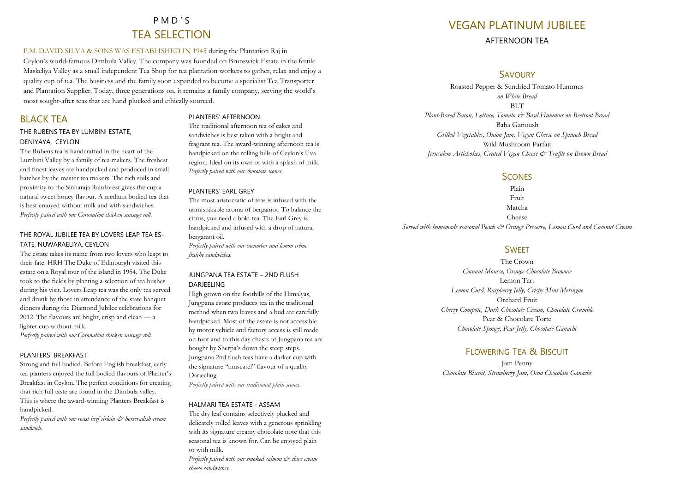# P M D ' S TEA SELECTION

#### P.M. DAVID SILVA & SONS WAS ESTABLISHED IN 1945 during the Plantation Raj in

Ceylon's world-famous Dimbula Valley. The company was founded on Brunswick Estate in the fertile Maskeliya Valley as a small independent Tea Shop for tea plantation workers to gather, relax and enjoy a quality cup of tea. The business and the family soon expanded to become a specialist Tea Transporter and Plantation Supplier. Today, three generations on, it remains a family company, serving the world's most sought-after teas that are hand plucked and ethically sourced.

# BLACK TEA

### THE RUBENS TEA BY LUMBINI ESTATE, DENIYAYA, CEYLON

The Rubens tea is handcrafted in the heart of the Lumbini Valley by a family of tea makers. The freshest and finest leaves are handpicked and produced in small batches by the master tea makers. The rich soils and proximity to the Sinharaja Rainforest gives the cup a natural sweet honey flavour. A medium bodied tea that is best enjoyed without milk and with sandwiches. *Perfectly paired with our Coronation chicken sausage roll.*

### THE ROYAL JUBILEE TEA BY LOVERS LEAP TEA ES-TATE, NUWARAELIYA, CEYLON

The estate takes its name from two lovers who leapt to their fate. HRH The Duke of Edinburgh visited this estate on a Royal tour of the island in 1954. The Duke took to the fields by planting a selection of tea bushes during his visit. Lovers Leap tea was the only tea served and drunk by those in attendance of the state banquet dinners during the Diamond Jubilee celebrations for 2012. The flavours are bright, crisp and clean — a lighter cup without milk.

*Perfectly paired with our Coronation chicken sausage roll.*

### PLANTERS' BREAKFAST

Strong and full bodied. Before English breakfast, early tea planters enjoyed the full bodied flavours of Planter's Breakfast in Ceylon. The perfect conditions for creating that rich full taste are found in the Dimbula valley. This is where the award-winning Planters Breakfast is handpicked.

*Perfectly paired with our roast beef sirloin & horseradish cream sandwich.* 

### PLANTERS' AFTERNOON

The traditional afternoon tea of cakes and sandwiches is best taken with a bright and fragrant tea. The award-winning afternoon tea is handpicked on the rolling hills of Ceylon's Uva region. Ideal on its own or with a splash of milk. *Perfectly paired with our chocolate scones.* 

### PLANTERS' EARL GREY

The most aristocratic of teas is infused with the unmistakable aroma of bergamot. To balance the citrus, you need a bold tea. The Earl Grey is handpicked and infused with a drop of natural bergamot oil. *Perfectly paired with our cucumber and lemon crème* 

*fraîche sandwiches.* 

### JUNGPANA TEA ESTATE – 2ND FLUSH DARJEELING

High grown on the foothills of the Himalyas, Jungpana estate produces tea in the traditional method when two leaves and a bud are carefully handpicked. Most of the estate is not accessible by motor vehicle and factory access is still made on foot and to this day chests of Jungpana tea are bought by Sherpa's down the steep steps. Jungpana 2nd flush teas have a darker cup with the signature "muscatel" flavour of a quality Darjeeling.

*Perfectly paired with our traditional plain scones.*

#### HALMARI TEA ESTATE - ASSAM

The dry leaf contains selectively plucked and delicately rolled leaves with a generous sprinkling with its signature creamy chocolate note that this seasonal tea is known for. Can be enjoyed plain or with milk. *Perfectly paired with our smoked salmon & chive cream cheese sandwiches.* 

# VEGAN PLATINUM JUBILEE AFTERNOON TEA

### **SAVOURY**

Roasted Pepper & Sundried Tomato Hummus *on White Bread*  **BLT** *Plant-Based Bacon, Lettuce, Tomato & Basil Hummus on Beetroot Bread* Baba Ganoush *Grilled Vegetables, Onion Jam, Vegan Cheese on Spinach Bread*  Wild Mushroom Parfait *Jerusalem Artichokes, Grated Vegan Cheese & Truffle on Brown Bread*

### **SCONES**

Plain Fruit Matcha Cheese *Served with homemade seasonal Peach & Orange Preserve, Lemon Curd and Coconut Cream*

# **SWFFT**

The Crown *Coconut Mousse, Orange Chocolate Brownie* Lemon Tart *Lemon Curd, Raspberry Jelly, Crispy Mint Meringue* Orchard Fruit *Cherry Compote, Dark Chocolate Cream, Chocolate Crumble* Pear & Chocolate Torte *Chocolate Sponge, Pear Jelly, Chocolate Ganache* 

# FLOWERING TEA & BISCUIT

Jam Penny *Chocolate Biscuit, Strawberry Jam, Ocoa Chocolate Ganache*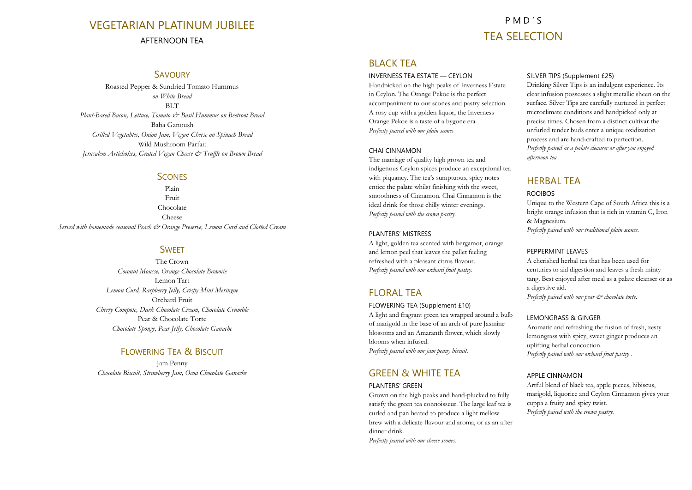# VEGETARIAN PLATINUM JUBILEE AFTERNOON TEA

# P M D ' S TEA SELECTION

### **SAVOURY**

Roasted Pepper & Sundried Tomato Hummus *on White Bread*  **BLT** *Plant-Based Bacon, Lettuce, Tomato & Basil Hummus on Beetroot Bread* Baba Ganoush *Grilled Vegetables, Onion Jam, Vegan Cheese on Spinach Bread*  Wild Mushroom Parfait *Jerusalem Artichokes, Grated Vegan Cheese & Truffle on Brown Bread*

### **SCONES**

Plain Fruit Chocolate Cheese *Served with homemade seasonal Peach & Orange Preserve, Lemon Curd and Clotted Cream*

### **SWEET**

The Crown *Coconut Mousse, Orange Chocolate Brownie* Lemon Tart *Lemon Curd, Raspberry Jelly, Crispy Mint Meringue* Orchard Fruit *Cherry Compote, Dark Chocolate Cream, Chocolate Crumble* Pear & Chocolate Torte *Chocolate Sponge, Pear Jelly, Chocolate Ganache* 

# FLOWERING TEA & BISCUIT

Jam Penny *Chocolate Biscuit, Strawberry Jam, Ocoa Chocolate Ganache*

# BLACK TEA

#### INVERNESS TEA ESTATE — CEYLON

Handpicked on the high peaks of Inverness Estate in Ceylon. The Orange Pekoe is the perfect accompaniment to our scones and pastry selection. A rosy cup with a golden liquor, the Inverness Orange Pekoe is a taste of a bygone era. *Perfectly paired with our plain scones* 

#### CHAI CINNAMON

The marriage of quality high grown tea and indigenous Ceylon spices produce an exceptional tea with piquancy. The tea's sumptuous, spicy notes entice the palate whilst finishing with the sweet, smoothness of Cinnamon. Chai Cinnamon is the ideal drink for those chilly winter evenings. *Perfectly paired with the crown pastry.* 

### PLANTERS' MISTRESS

A light, golden tea scented with bergamot, orange and lemon peel that leaves the pallet feeling refreshed with a pleasant citrus flavour. *Perfectly paired with our orchard fruit pastry.* 

# **FLORAL TFA**

#### FLOWERING TEA (Supplement £10)

A light and fragrant green tea wrapped around a bulb of marigold in the base of an arch of pure Jasmine blossoms and an Amaranth flower, which slowly blooms when infused. *Perfectly paired with our jam penny biscuit.* 

# GREEN & WHITE TEA

#### PLANTERS' GRFFN

Grown on the high peaks and hand-plucked to fully satisfy the green tea connoisseur. The large leaf tea is curled and pan heated to produce a light mellow brew with a delicate flavour and aroma, or as an after dinner drink.

*Perfectly paired with our cheese scones.* 

#### SILVER TIPS (Supplement £25)

Drinking Silver Tips is an indulgent experience. Its clear infusion possesses a slight metallic sheen on the surface. Silver Tips are carefully nurtured in perfect microclimate conditions and handpicked only at precise times. Chosen from a distinct cultivar the unfurled tender buds enter a unique oxidization process and are hand-crafted to perfection. *Perfectly paired as a palate cleanser or after you enjoyed afternoon tea.*

# HERBAL TEA

### ROOIBOS

Unique to the Western Cape of South Africa this is a bright orange infusion that is rich in vitamin C, Iron & Magnesium. *Perfectly paired with our traditional plain scones.*

#### PEPPERMINT LEAVES

A cherished herbal tea that has been used for centuries to aid digestion and leaves a fresh minty tang. Best enjoyed after meal as a palate cleanser or as a digestive aid. *Perfectly paired with our pear & chocolate torte.* 

### LEMONGRASS & GINGER

Aromatic and refreshing the fusion of fresh, zesty lemongrass with spicy, sweet ginger produces an uplifting herbal concoction. *Perfectly paired with our orchard fruit pastry .*

### APPLE CINNAMON

Artful blend of black tea, apple pieces, hibiscus, marigold, liquorice and Ceylon Cinnamon gives your cuppa a fruity and spicy twist. *Perfectly paired with the crown pastry.*